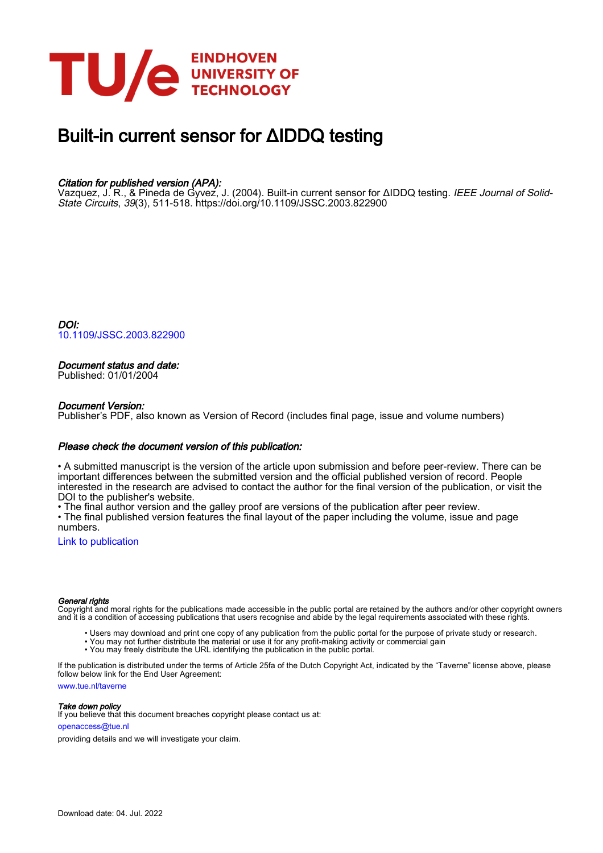

# Built-in current sensor for ΔIDDQ testing

# Citation for published version (APA):

Vazquez, J. R., & Pineda de Gyvez, J. (2004). Built-in current sensor for ΔIDDQ testing. *IEEE Journal of Solid-*State Circuits, 39(3), 511-518.<https://doi.org/10.1109/JSSC.2003.822900>

DOI: [10.1109/JSSC.2003.822900](https://doi.org/10.1109/JSSC.2003.822900)

# Document status and date:

Published: 01/01/2004

# Document Version:

Publisher's PDF, also known as Version of Record (includes final page, issue and volume numbers)

# Please check the document version of this publication:

• A submitted manuscript is the version of the article upon submission and before peer-review. There can be important differences between the submitted version and the official published version of record. People interested in the research are advised to contact the author for the final version of the publication, or visit the DOI to the publisher's website.

• The final author version and the galley proof are versions of the publication after peer review.

• The final published version features the final layout of the paper including the volume, issue and page numbers.

[Link to publication](https://research.tue.nl/en/publications/be0485af-61c0-4ac5-bfa7-15b02fe0099b)

### General rights

Copyright and moral rights for the publications made accessible in the public portal are retained by the authors and/or other copyright owners and it is a condition of accessing publications that users recognise and abide by the legal requirements associated with these rights.

- Users may download and print one copy of any publication from the public portal for the purpose of private study or research.
- You may not further distribute the material or use it for any profit-making activity or commercial gain
- You may freely distribute the URL identifying the publication in the public portal.

If the publication is distributed under the terms of Article 25fa of the Dutch Copyright Act, indicated by the "Taverne" license above, please follow below link for the End User Agreement:

www.tue.nl/taverne

**Take down policy**<br>If you believe that this document breaches copyright please contact us at:

openaccess@tue.nl

providing details and we will investigate your claim.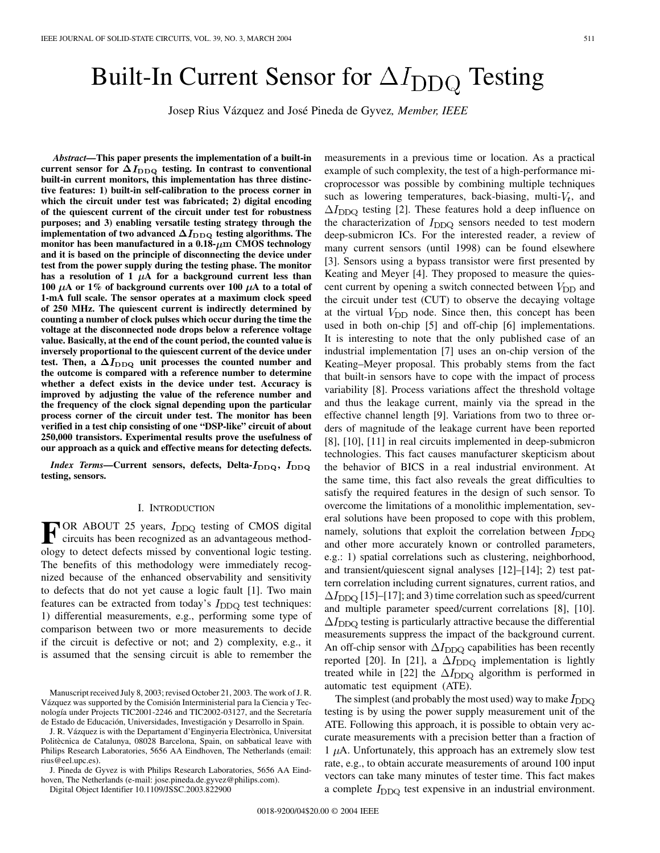# Built-In Current Sensor for  $\Delta I_{\rm DDO}$  Testing

Josep Rius Vázquez and José Pineda de Gyvez*, Member, IEEE*

*Abstract—***This paper presents the implementation of a built-in** current sensor for  $\Delta I_{DDQ}$  testing. In contrast to conventional **built-in current monitors, this implementation has three distinctive features: 1) built-in self-calibration to the process corner in which the circuit under test was fabricated; 2) digital encoding of the quiescent current of the circuit under test for robustness purposes; and 3) enabling versatile testing strategy through the implementation of two advanced**  $\Delta I_{\text{DDQ}}$  testing algorithms. The monitor has been manufactured in a  $0.18 - \mu m$  CMOS technology **and it is based on the principle of disconnecting the device under test from the power supply during the testing phase. The monitor** has a resolution of 1  $\mu$ A for a background current less than **100**  $\mu$ A or 1% of background currents over 100  $\mu$ A to a total of **1-mA full scale. The sensor operates at a maximum clock speed of 250 MHz. The quiescent current is indirectly determined by counting a number of clock pulses which occur during the time the voltage at the disconnected node drops below a reference voltage value. Basically, at the end of the count period, the counted value is inversely proportional to the quiescent current of the device under** test. Then, a  $\Delta I_{\text{DDQ}}$  unit processes the counted number and **the outcome is compared with a reference number to determine whether a defect exists in the device under test. Accuracy is improved by adjusting the value of the reference number and the frequency of the clock signal depending upon the particular process corner of the circuit under test. The monitor has been verified in a test chip consisting of one "DSP-like" circuit of about 250,000 transistors. Experimental results prove the usefulness of our approach as a quick and effective means for detecting defects.**

*Index Terms*—Current sensors, defects, Delta- $I_{DDQ}$ ,  $I_{DDQ}$ **testing, sensors.**

#### I. INTRODUCTION

**F** OR ABOUT 25 years,  $I_{\text{DDQ}}$  testing of CMOS digital<br>circuits has been recognized as an advantageous method-<br>clear to detect defects missed by conventional logic testing ology to detect defects missed by conventional logic testing. The benefits of this methodology were immediately recognized because of the enhanced observability and sensitivity to defects that do not yet cause a logic fault [[1\]](#page-7-0). Two main features can be extracted from today's  $I_{DDQ}$  test techniques: 1) differential measurements, e.g., performing some type of comparison between two or more measurements to decide if the circuit is defective or not; and 2) complexity, e.g., it is assumed that the sensing circuit is able to remember the

J. R. Vázquez is with the Departament d'Enginyeria Electrònica, Universitat Politècnica de Catalunya, 08028 Barcelona, Spain, on sabbatical leave with Philips Research Laboratories, 5656 AA Eindhoven, The Netherlands (email: rius@eel.upc.es).

J. Pineda de Gyvez is with Philips Research Laboratories, 5656 AA Eindhoven, The Netherlands (e-mail: jose.pineda.de.gyvez@philips.com).

Digital Object Identifier 10.1109/JSSC.2003.822900

measurements in a previous time or location. As a practical example of such complexity, the test of a high-performance microprocessor was possible by combining multiple techniques such as lowering temperatures, back-biasing, multi- $V_t$ , and  $\Delta I_{\text{DDQ}}$  testing [\[2](#page-7-0)]. These features hold a deep influence on the characterization of  $I_{DDQ}$  sensors needed to test modern deep-submicron ICs. For the interested reader, a review of many current sensors (until 1998) can be found elsewhere [\[3](#page-7-0)]. Sensors using a bypass transistor were first presented by Keating and Meyer [\[4](#page-7-0)]. They proposed to measure the quiescent current by opening a switch connected between  $V_{\text{DD}}$  and the circuit under test (CUT) to observe the decaying voltage at the virtual  $V_{\text{DD}}$  node. Since then, this concept has been used in both on-chip [[5\]](#page-7-0) and off-chip [\[6](#page-7-0)] implementations. It is interesting to note that the only published case of an industrial implementation [[7\]](#page-7-0) uses an on-chip version of the Keating–Meyer proposal. This probably stems from the fact that built-in sensors have to cope with the impact of process variability [[8\]](#page-7-0). Process variations affect the threshold voltage and thus the leakage current, mainly via the spread in the effective channel length [[9\]](#page-7-0). Variations from two to three orders of magnitude of the leakage current have been reported [\[8](#page-7-0)], [[10\]](#page-7-0), [[11\]](#page-7-0) in real circuits implemented in deep-submicron technologies. This fact causes manufacturer skepticism about the behavior of BICS in a real industrial environment. At the same time, this fact also reveals the great difficulties to satisfy the required features in the design of such sensor. To overcome the limitations of a monolithic implementation, several solutions have been proposed to cope with this problem, namely, solutions that exploit the correlation between  $I_{DDQ}$ and other more accurately known or controlled parameters, e.g.: 1) spatial correlations such as clustering, neighborhood, and transient/quiescent signal analyses [[12\]](#page-7-0)–[\[14](#page-8-0)]; 2) test pattern correlation including current signatures, current ratios, and  $\Delta I_{\text{DDO}}$  [[15\]](#page-8-0)–[\[17](#page-8-0)]; and 3) time correlation such as speed/current and multiple parameter speed/current correlations [\[8](#page-7-0)], [\[10](#page-7-0)].  $\Delta I_{\text{DDO}}$  testing is particularly attractive because the differential measurements suppress the impact of the background current. An off-chip sensor with  $\Delta I_{\text{DDQ}}$  capabilities has been recently reported [[20\]](#page-8-0). In [\[21](#page-8-0)], a  $\Delta I_{\text{DDQ}}$  implementation is lightly treated while in [[22\]](#page-8-0) the  $\Delta I_{\text{DDQ}}$  algorithm is performed in automatic test equipment (ATE).

The simplest (and probably the most used) way to make  $I_{\text{DDQ}}$ testing is by using the power supply measurement unit of the ATE. Following this approach, it is possible to obtain very accurate measurements with a precision better than a fraction of  $1 \mu$ A. Unfortunately, this approach has an extremely slow test rate, e.g., to obtain accurate measurements of around 100 input vectors can take many minutes of tester time. This fact makes a complete  $I_{DDQ}$  test expensive in an industrial environment.

Manuscript received July 8, 2003; revised October 21, 2003. The work of J. R. Vázquez was supported by the Comisión Interministerial para la Ciencia y Tecnología under Projects TIC2001-2246 and TIC2002-03127, and the Secretaría de Estado de Educación, Universidades, Investigación y Desarrollo in Spain.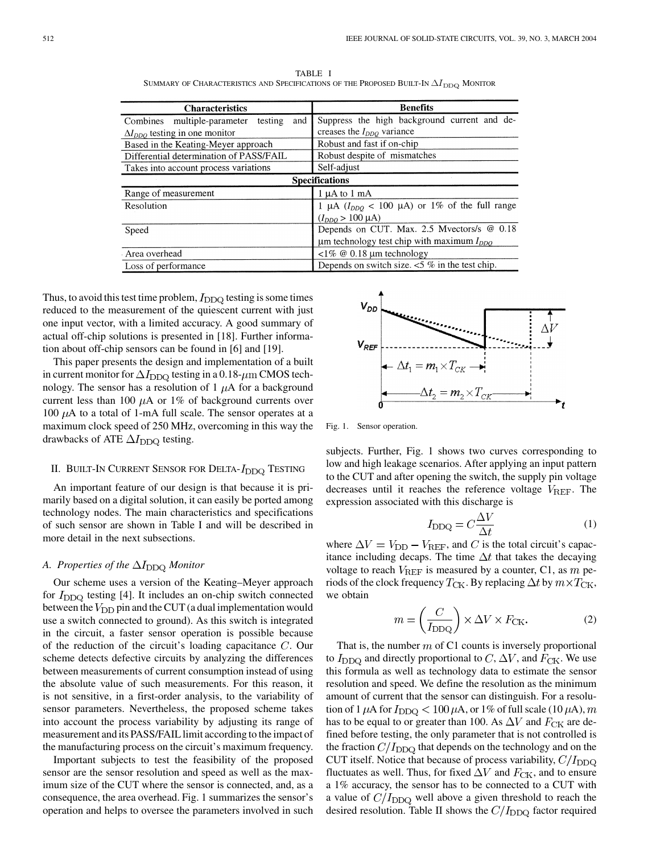| <b>Characteristics</b>                     | <b>Benefits</b>                                                  |  |  |  |
|--------------------------------------------|------------------------------------------------------------------|--|--|--|
| and<br>Combines multiple-parameter testing | Suppress the high background current and de-                     |  |  |  |
| $\Delta I_{DDO}$ testing in one monitor    | creases the $I_{DDQ}$ variance                                   |  |  |  |
| Based in the Keating-Meyer approach        | Robust and fast if on-chip                                       |  |  |  |
| Differential determination of PASS/FAIL    | Robust despite of mismatches                                     |  |  |  |
| Takes into account process variations      | Self-adjust                                                      |  |  |  |
| <b>Specifications</b>                      |                                                                  |  |  |  |
| Range of measurement                       | $1 \mu A$ to $1 \mu A$                                           |  |  |  |
| Resolution                                 | 1 µA ( $I_{DDQ}$ < 100 µA) or 1% of the full range               |  |  |  |
|                                            | $(I_{DDO} > 100 \mu A)$                                          |  |  |  |
| Speed                                      | Depends on CUT. Max. 2.5 Mvectors/s @ 0.18                       |  |  |  |
|                                            | $\mu$ m technology test chip with maximum $I_{DDQ}$              |  |  |  |
| Area overhead                              | $\langle 1\% \; \textcircled{0} \; 0.18 \; \text{µm}$ technology |  |  |  |
| Loss of performance                        | Depends on switch size. $<$ 5% in the test chip.                 |  |  |  |

TABLE I SUMMARY OF CHARACTERISTICS AND SPECIFICATIONS OF THE PROPOSED BUILT-IN  $\Delta I_{\rm DDQ}$  MONITOR

Thus, to avoid this test time problem,  $I_{DDQ}$  testing is some times reduced to the measurement of the quiescent current with just one input vector, with a limited accuracy. A good summary of actual off-chip solutions is presented in [[18\]](#page-8-0). Further information about off-chip sensors can be found in [\[6](#page-7-0)] and [[19\]](#page-8-0).

This paper presents the design and implementation of a built in current monitor for  $\Delta I_{\text{DDO}}$  testing in a 0.18- $\mu$ m CMOS technology. The sensor has a resolution of  $1 \mu A$  for a background current less than 100  $\mu$ A or 1% of background currents over 100  $\mu$ A to a total of 1-mA full scale. The sensor operates at a maximum clock speed of 250 MHz, overcoming in this way the drawbacks of ATE  $\Delta I_{\text{DDQ}}$  testing.

# II. BUILT-IN CURRENT SENSOR FOR DELTA- $I_{\rm DDQ}$  Testing

An important feature of our design is that because it is primarily based on a digital solution, it can easily be ported among technology nodes. The main characteristics and specifications of such sensor are shown in Table I and will be described in more detail in the next subsections.

#### *A. Properties of the Monitor*

Our scheme uses a version of the Keating–Meyer approach for  $I_{\text{DDO}}$  testing [\[4](#page-7-0)]. It includes an on-chip switch connected between the  $V_{\text{DD}}$  pin and the CUT (a dual implementation would use a switch connected to ground). As this switch is integrated in the circuit, a faster sensor operation is possible because of the reduction of the circuit's loading capacitance  $C$ . Our scheme detects defective circuits by analyzing the differences between measurements of current consumption instead of using the absolute value of such measurements. For this reason, it is not sensitive, in a first-order analysis, to the variability of sensor parameters. Nevertheless, the proposed scheme takes into account the process variability by adjusting its range of measurement and its PASS/FAIL limit according to the impact of the manufacturing process on the circuit's maximum frequency.

Important subjects to test the feasibility of the proposed sensor are the sensor resolution and speed as well as the maximum size of the CUT where the sensor is connected, and, as a consequence, the area overhead. Fig. 1 summarizes the sensor's operation and helps to oversee the parameters involved in such



Fig. 1. Sensor operation.

subjects. Further, Fig. 1 shows two curves corresponding to low and high leakage scenarios. After applying an input pattern to the CUT and after opening the switch, the supply pin voltage decreases until it reaches the reference voltage  $V_{REF}$ . The expression associated with this discharge is

$$
I_{\rm DDQ} = C \frac{\Delta V}{\Delta t} \tag{1}
$$

where  $\Delta V = V_{\text{DD}} - V_{\text{REF}}$ , and C is the total circuit's capacitance including decaps. The time  $\Delta t$  that takes the decaying voltage to reach  $V_{REF}$  is measured by a counter, C1, as m periods of the clock frequency  $T_{CK}$ . By replacing  $\Delta t$  by  $m \times T_{CK}$ , we obtain

$$
m = \left(\frac{C}{I_{\text{DDQ}}}\right) \times \Delta V \times F_{\text{CK}}.\tag{2}
$$

That is, the number  $m$  of C1 counts is inversely proportional to  $I_{\text{DDO}}$  and directly proportional to C,  $\Delta V$ , and  $F_{\text{CK}}$ . We use this formula as well as technology data to estimate the sensor resolution and speed. We define the resolution as the minimum amount of current that the sensor can distinguish. For a resolution of 1  $\mu$ A for  $I_{DDQ} < 100 \mu$ A, or 1% of full scale (10  $\mu$ A), m has to be equal to or greater than 100. As  $\Delta V$  and  $F_{CK}$  are defined before testing, the only parameter that is not controlled is the fraction  $C/I_{DDQ}$  that depends on the technology and on the CUT itself. Notice that because of process variability,  $C/I_{DDQ}$ fluctuates as well. Thus, for fixed  $\Delta V$  and  $F_{CK}$ , and to ensure a 1% accuracy, the sensor has to be connected to a CUT with a value of  $C/I_{DDQ}$  well above a given threshold to reach the desired resolution. Table II shows the  $C/I_\mathrm{DDQ}$  factor required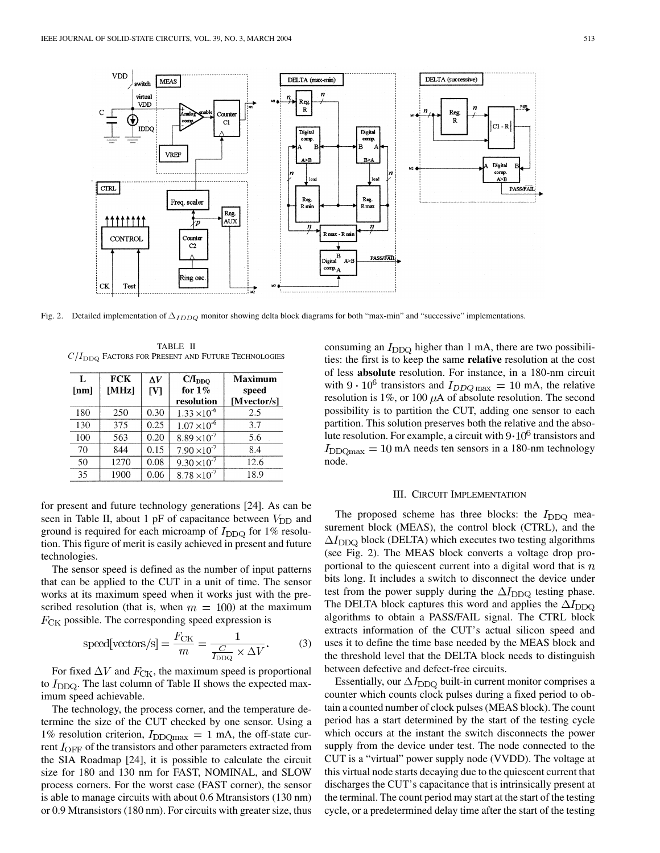

Fig. 2. Detailed implementation of  $\Delta_{IDDO}$  monitor showing delta block diagrams for both "max-min" and "successive" implementations.

TABLE II  $C/I_{\rm DDQ}$  FACTORS FOR PRESENT AND FUTURE TECHNOLOGIES

| L<br>[nm] | <b>FCK</b><br>[MHz] | $\Lambda V$<br>$\mathbf{[V]}$ | $C/I_{DDO}$<br>for $1\%$<br>resolution | Maximum<br>speed<br>[Mvector/s] |
|-----------|---------------------|-------------------------------|----------------------------------------|---------------------------------|
| 180       | 250                 | 0.30                          | $1.33 \times 10^{-6}$                  | 2.5                             |
| 130       | 375                 | 0.25                          | $1.07 \times 10^{-6}$                  | 3.7                             |
| 100       | 563                 | 0.20                          | $8.89 \times 10^{-7}$                  | 5.6                             |
| 70        | 844                 | 0.15                          | $7.90 \times 10^{-7}$                  | 8.4                             |
| 50        | 1270                | 0.08                          | $9.30 \times 10^{-7}$                  | 12.6                            |
| 35        | 1900                | 0.06                          | $8.78 \times 10^{-7}$                  | 18.9                            |

for present and future technology generations [\[24](#page-8-0)]. As can be seen in Table II, about 1 pF of capacitance between  $V_{\text{DD}}$  and ground is required for each microamp of  $I_{DDQ}$  for 1% resolution. This figure of merit is easily achieved in present and future technologies.

The sensor speed is defined as the number of input patterns that can be applied to the CUT in a unit of time. The sensor works at its maximum speed when it works just with the prescribed resolution (that is, when  $m = 100$ ) at the maximum  $F_{CK}$  possible. The corresponding speed expression is

speed[vectors/s] = 
$$
\frac{F_{\text{CK}}}{m} = \frac{1}{\frac{C}{I_{\text{DDQ}}} \times \Delta V}
$$
. (3)

For fixed  $\Delta V$  and  $F_{CK}$ , the maximum speed is proportional to  $I_{\text{DDO}}$ . The last column of Table II shows the expected maximum speed achievable.

The technology, the process corner, and the temperature determine the size of the CUT checked by one sensor. Using a 1% resolution criterion,  $I_{DDQmax} = 1$  mA, the off-state current  $I_{\text{OFF}}$  of the transistors and other parameters extracted from the SIA Roadmap [[24\]](#page-8-0), it is possible to calculate the circuit size for 180 and 130 nm for FAST, NOMINAL, and SLOW process corners. For the worst case (FAST corner), the sensor is able to manage circuits with about 0.6 Mtransistors (130 nm) or 0.9 Mtransistors (180 nm). For circuits with greater size, thus consuming an  $I_{\text{DDQ}}$  higher than 1 mA, there are two possibilities: the first is to keep the same **relative** resolution at the cost of less **absolute** resolution. For instance, in a 180-nm circuit with  $9 \cdot 10^6$  transistors and  $I_{DDQ\,\text{max}} = 10 \text{ mA}$ , the relative resolution is 1%, or 100  $\mu$ A of absolute resolution. The second possibility is to partition the CUT, adding one sensor to each partition. This solution preserves both the relative and the absolute resolution. For example, a circuit with  $9 \cdot 10^6$  transistors and  $I_{\text{DDQmax}} = 10 \text{ mA}$  needs ten sensors in a 180-nm technology node.

#### III. CIRCUIT IMPLEMENTATION

The proposed scheme has three blocks: the  $I_{\text{DDQ}}$  measurement block (MEAS), the control block (CTRL), and the  $\Delta I_{\text{DDQ}}$  block (DELTA) which executes two testing algorithms (see Fig. 2). The MEAS block converts a voltage drop proportional to the quiescent current into a digital word that is  $n$ bits long. It includes a switch to disconnect the device under test from the power supply during the  $\Delta I_{\text{DDQ}}$  testing phase. The DELTA block captures this word and applies the  $\Delta I_{\text{DDQ}}$ algorithms to obtain a PASS/FAIL signal. The CTRL block extracts information of the CUT's actual silicon speed and uses it to define the time base needed by the MEAS block and the threshold level that the DELTA block needs to distinguish between defective and defect-free circuits.

Essentially, our  $\Delta I_{\text{DDO}}$  built-in current monitor comprises a counter which counts clock pulses during a fixed period to obtain a counted number of clock pulses (MEAS block). The count period has a start determined by the start of the testing cycle which occurs at the instant the switch disconnects the power supply from the device under test. The node connected to the CUT is a "virtual" power supply node (VVDD). The voltage at this virtual node starts decaying due to the quiescent current that discharges the CUT's capacitance that is intrinsically present at the terminal. The count period may start at the start of the testing cycle, or a predetermined delay time after the start of the testing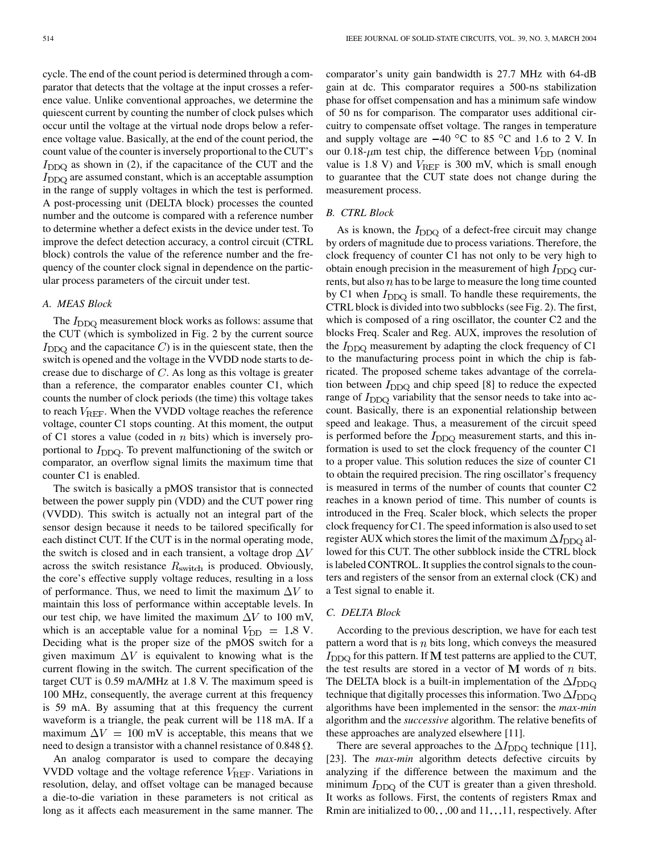cycle. The end of the count period is determined through a comparator that detects that the voltage at the input crosses a reference value. Unlike conventional approaches, we determine the quiescent current by counting the number of clock pulses which occur until the voltage at the virtual node drops below a reference voltage value. Basically, at the end of the count period, the count value of the counter is inversely proportional to the CUT's  $I_{\text{DDQ}}$  as shown in (2), if the capacitance of the CUT and the  $I_{\text{DDQ}}$  are assumed constant, which is an acceptable assumption in the range of supply voltages in which the test is performed. A post-processing unit (DELTA block) processes the counted number and the outcome is compared with a reference number to determine whether a defect exists in the device under test. To improve the defect detection accuracy, a control circuit (CTRL block) controls the value of the reference number and the frequency of the counter clock signal in dependence on the particular process parameters of the circuit under test.

# *A. MEAS Block*

The  $I_{\text{DDQ}}$  measurement block works as follows: assume that the CUT (which is symbolized in Fig. 2 by the current source  $I_{\text{DDQ}}$  and the capacitance C) is in the quiescent state, then the switch is opened and the voltage in the VVDD node starts to decrease due to discharge of  $C$ . As long as this voltage is greater than a reference, the comparator enables counter C1, which counts the number of clock periods (the time) this voltage takes to reach  $V_{REF}$ . When the VVDD voltage reaches the reference voltage, counter C1 stops counting. At this moment, the output of C1 stores a value (coded in  $n$  bits) which is inversely proportional to  $I_{\text{DDQ}}$ . To prevent malfunctioning of the switch or comparator, an overflow signal limits the maximum time that counter C1 is enabled.

The switch is basically a pMOS transistor that is connected between the power supply pin (VDD) and the CUT power ring (VVDD). This switch is actually not an integral part of the sensor design because it needs to be tailored specifically for each distinct CUT. If the CUT is in the normal operating mode, the switch is closed and in each transient, a voltage drop  $\Delta V$ across the switch resistance  $R_{\text{switch}}$  is produced. Obviously, the core's effective supply voltage reduces, resulting in a loss of performance. Thus, we need to limit the maximum  $\Delta V$  to maintain this loss of performance within acceptable levels. In our test chip, we have limited the maximum  $\Delta V$  to 100 mV, which is an acceptable value for a nominal  $V_{\text{DD}} = 1.8 \text{ V}$ . Deciding what is the proper size of the pMOS switch for a given maximum  $\Delta V$  is equivalent to knowing what is the current flowing in the switch. The current specification of the target CUT is 0.59 mA/MHz at 1.8 V. The maximum speed is 100 MHz, consequently, the average current at this frequency is 59 mA. By assuming that at this frequency the current waveform is a triangle, the peak current will be 118 mA. If a maximum  $\Delta V = 100$  mV is acceptable, this means that we need to design a transistor with a channel resistance of 0.848  $\Omega$ .

An analog comparator is used to compare the decaying VVDD voltage and the voltage reference  $V_{\text{REF}}$ . Variations in resolution, delay, and offset voltage can be managed because a die-to-die variation in these parameters is not critical as long as it affects each measurement in the same manner. The comparator's unity gain bandwidth is 27.7 MHz with 64-dB gain at dc. This comparator requires a 500-ns stabilization phase for offset compensation and has a minimum safe window of 50 ns for comparison. The comparator uses additional circuitry to compensate offset voltage. The ranges in temperature and supply voltage are  $-40^{\circ}$ C to 85 °C and 1.6 to 2 V. In our 0.18- $\mu$ m test chip, the difference between  $V_{\text{DD}}$  (nominal value is 1.8 V) and  $V_{REF}$  is 300 mV, which is small enough to guarantee that the CUT state does not change during the measurement process.

# *B. CTRL Block*

As is known, the  $I_{\text{DDQ}}$  of a defect-free circuit may change by orders of magnitude due to process variations. Therefore, the clock frequency of counter C1 has not only to be very high to obtain enough precision in the measurement of high  $I_{\text{DDO}}$  currents, but also  $n$  has to be large to measure the long time counted by C1 when  $I_{DDQ}$  is small. To handle these requirements, the CTRL block is divided into two subblocks (see Fig. 2). The first, which is composed of a ring oscillator, the counter C2 and the blocks Freq. Scaler and Reg. AUX, improves the resolution of the  $I_{\text{DDQ}}$  measurement by adapting the clock frequency of C1 to the manufacturing process point in which the chip is fabricated. The proposed scheme takes advantage of the correlation between  $I_{\text{DDQ}}$  and chip speed [[8\]](#page-7-0) to reduce the expected range of  $I_{\text{DDO}}$  variability that the sensor needs to take into account. Basically, there is an exponential relationship between speed and leakage. Thus, a measurement of the circuit speed is performed before the  $I_{\text{DDQ}}$  measurement starts, and this information is used to set the clock frequency of the counter C1 to a proper value. This solution reduces the size of counter C1 to obtain the required precision. The ring oscillator's frequency is measured in terms of the number of counts that counter C2 reaches in a known period of time. This number of counts is introduced in the Freq. Scaler block, which selects the proper clock frequency for C1. The speed information is also used to set register AUX which stores the limit of the maximum  $\Delta I_{\text{DDQ}}$  allowed for this CUT. The other subblock inside the CTRL block is labeled CONTROL. It supplies the control signals to the counters and registers of the sensor from an external clock (CK) and a Test signal to enable it.

#### *C. DELTA Block*

According to the previous description, we have for each test pattern a word that is  $n$  bits long, which conveys the measured  $I_{\text{DDO}}$  for this pattern. If M test patterns are applied to the CUT, the test results are stored in a vector of  $M$  words of  $n$  bits. The DELTA block is a built-in implementation of the  $\Delta I_{\text{DDO}}$ technique that digitally processes this information. Two  $\Delta I_{\text{DDO}}$ algorithms have been implemented in the sensor: the *max-min* algorithm and the *successive* algorithm. The relative benefits of these approaches are analyzed elsewhere [[11\]](#page-7-0).

There are several approaches to the  $\Delta I_{\text{DDQ}}$  technique [[11\]](#page-7-0), [[23\]](#page-8-0). The *max-min* algorithm detects defective circuits by analyzing if the difference between the maximum and the minimum  $I_{DDQ}$  of the CUT is greater than a given threshold. It works as follows. First, the contents of registers Rmax and Rmin are initialized to  $00$ . . 00 and  $11$ . . 11, respectively. After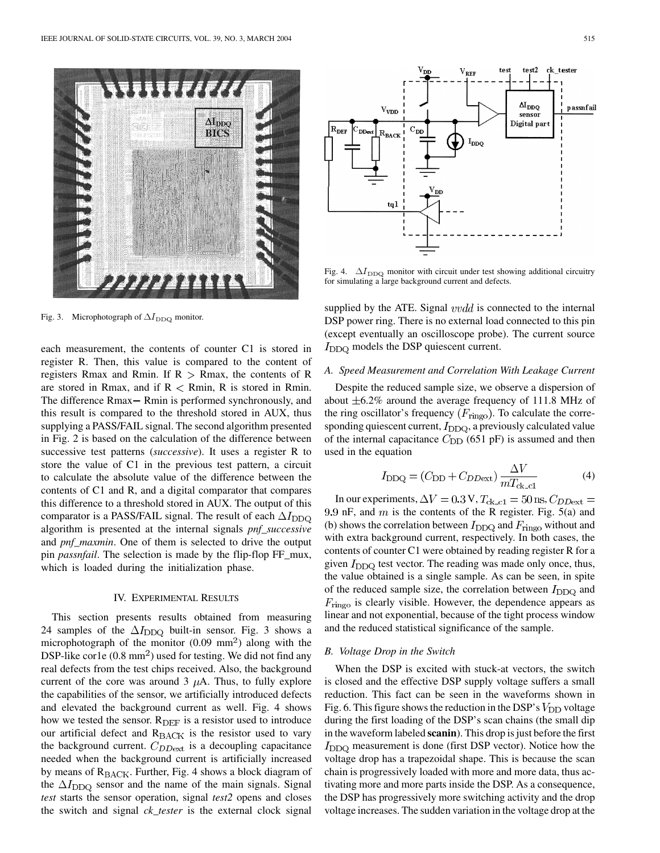

Fig. 3. Microphotograph of  $\Delta I_{\rm DDQ}$  monitor.

each measurement, the contents of counter C1 is stored in register R. Then, this value is compared to the content of registers Rmax and Rmin. If  $R > R$ max, the contents of R are stored in Rmax, and if  $R < R$ min, R is stored in Rmin. The difference Rmax – Rmin is performed synchronously, and this result is compared to the threshold stored in AUX, thus supplying a PASS/FAIL signal. The second algorithm presented in Fig. 2 is based on the calculation of the difference between successive test patterns (*successive*). It uses a register R to store the value of C1 in the previous test pattern, a circuit to calculate the absolute value of the difference between the contents of C1 and R, and a digital comparator that compares this difference to a threshold stored in AUX. The output of this comparator is a PASS/FAIL signal. The result of each  $\Delta I_{\text{DDO}}$ algorithm is presented at the internal signals *pnf\_successive* and *pnf\_maxmin*. One of them is selected to drive the output pin *passnfail*. The selection is made by the flip-flop FF\_mux, which is loaded during the initialization phase.

#### IV. EXPERIMENTAL RESULTS

This section presents results obtained from measuring 24 samples of the  $\Delta I_{\text{DDQ}}$  built-in sensor. Fig. 3 shows a microphotograph of the monitor  $(0.09 \text{ mm}^2)$  along with the DSP-like cor1e  $(0.8 \text{ mm}^2)$  used for testing. We did not find any real defects from the test chips received. Also, the background current of the core was around 3  $\mu$ A. Thus, to fully explore the capabilities of the sensor, we artificially introduced defects and elevated the background current as well. Fig. 4 shows how we tested the sensor.  $R_{DEF}$  is a resistor used to introduce our artificial defect and  $R_{\text{BACK}}$  is the resistor used to vary the background current.  $C_{DDext}$  is a decoupling capacitance needed when the background current is artificially increased by means of  $R_{\text{BACK}}$ . Further, Fig. 4 shows a block diagram of the  $\Delta I_{\text{DDQ}}$  sensor and the name of the main signals. Signal *test* starts the sensor operation, signal *test2* opens and closes the switch and signal *ck\_tester* is the external clock signal



Fig. 4.  $\Delta I_{\text{DDQ}}$  monitor with circuit under test showing additional circuitry for simulating a large background current and defects.

supplied by the ATE. Signal  $vvdd$  is connected to the internal DSP power ring. There is no external load connected to this pin (except eventually an oscilloscope probe). The current source  $I_{\text{DDQ}}$  models the DSP quiescent current.

#### *A. Speed Measurement and Correlation With Leakage Current*

Despite the reduced sample size, we observe a dispersion of about  $\pm 6.2\%$  around the average frequency of 111.8 MHz of the ring oscillator's frequency  $(F_{\text{ring}})$ . To calculate the corresponding quiescent current,  $I_{\text{DDQ}}$ , a previously calculated value of the internal capacitance  $C_{\text{DD}}$  (651 pF) is assumed and then used in the equation

$$
I_{\rm DDQ} = (C_{\rm DD} + C_{\rm DDext}) \frac{\Delta V}{mT_{\rm ck\_cl}}
$$
 (4)

In our experiments,  $\Delta V = 0.3$  V,  $T_{\rm ck\_c1} = 50$  ns,  $C_{DD{\rm ext}} =$ 9.9 nF, and  $m$  is the contents of the R register. Fig. 5(a) and (b) shows the correlation between  $I_{DDQ}$  and  $F_{ringo}$  without and with extra background current, respectively. In both cases, the contents of counter C1 were obtained by reading register R for a given  $I_{\text{DDO}}$  test vector. The reading was made only once, thus, the value obtained is a single sample. As can be seen, in spite of the reduced sample size, the correlation between  $I_{\text{DDO}}$  and  $F_{\text{ringo}}$  is clearly visible. However, the dependence appears as linear and not exponential, because of the tight process window and the reduced statistical significance of the sample.

### *B. Voltage Drop in the Switch*

When the DSP is excited with stuck-at vectors, the switch is closed and the effective DSP supply voltage suffers a small reduction. This fact can be seen in the waveforms shown in Fig. 6. This figure shows the reduction in the DSP's  $V_{\text{DD}}$  voltage during the first loading of the DSP's scan chains (the small dip in the waveform labeled **scanin**). This drop is just before the first  $I_{\text{DDQ}}$  measurement is done (first DSP vector). Notice how the voltage drop has a trapezoidal shape. This is because the scan chain is progressively loaded with more and more data, thus activating more and more parts inside the DSP. As a consequence, the DSP has progressively more switching activity and the drop voltage increases. The sudden variation in the voltage drop at the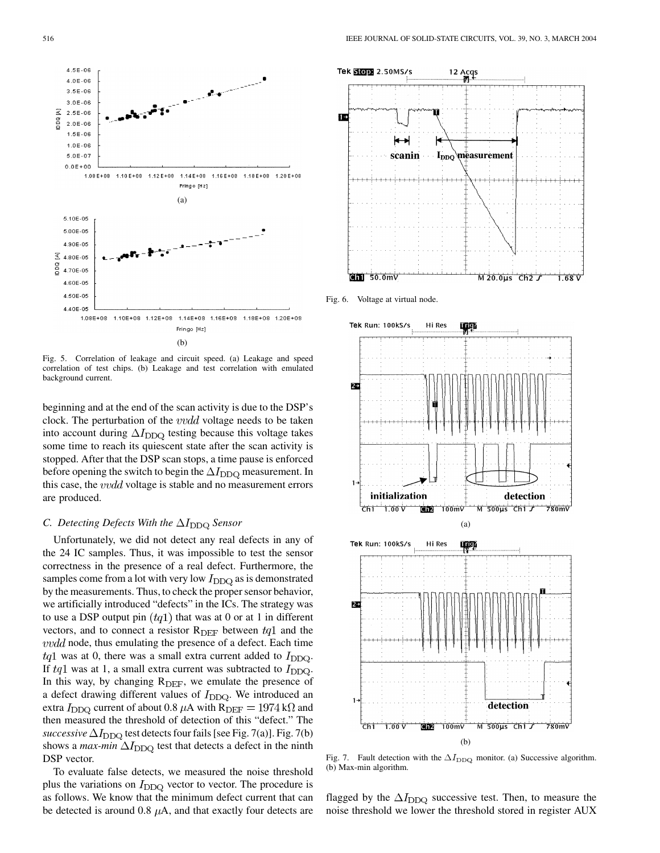

Fig. 5. Correlation of leakage and circuit speed. (a) Leakage and speed correlation of test chips. (b) Leakage and test correlation with emulated background current.

beginning and at the end of the scan activity is due to the DSP's clock. The perturbation of the  $vvdd$  voltage needs to be taken into account during  $\Delta I_{\text{DDQ}}$  testing because this voltage takes some time to reach its quiescent state after the scan activity is stopped. After that the DSP scan stops, a time pause is enforced before opening the switch to begin the  $\Delta I_{\text{DDQ}}$  measurement. In this case, the *vvdd* voltage is stable and no measurement errors are produced.

#### *C. Detecting Defects With the*  $\Delta I_{DDQ}$  Sensor

Unfortunately, we did not detect any real defects in any of the 24 IC samples. Thus, it was impossible to test the sensor correctness in the presence of a real defect. Furthermore, the samples come from a lot with very low  $I_{\text{DDQ}}$  as is demonstrated by the measurements. Thus, to check the proper sensor behavior, we artificially introduced "defects" in the ICs. The strategy was to use a DSP output pin  $(tq1)$  that was at 0 or at 1 in different vectors, and to connect a resistor  $R_{\text{DEF}}$  between  $tq1$  and the  $vvdd$  node, thus emulating the presence of a defect. Each time  $tq1$  was at 0, there was a small extra current added to  $I_{\text{DDO}}$ . If  $tq1$  was at 1, a small extra current was subtracted to  $I_{DDQ}$ . In this way, by changing  $R_{\text{DEF}}$ , we emulate the presence of a defect drawing different values of  $I_{DDQ}$ . We introduced an extra  $I_{\text{DDO}}$  current of about 0.8  $\mu$ A with R<sub>DEF</sub> = 1974 k $\Omega$  and then measured the threshold of detection of this "defect." The *successive*  $\Delta I_{\text{DDQ}}$  test detects four fails [see Fig. 7(a)]. Fig. 7(b) shows a *max-min*  $\Delta I_{\text{DDQ}}$  test that detects a defect in the ninth DSP vector.

To evaluate false detects, we measured the noise threshold plus the variations on  $I_{DDQ}$  vector to vector. The procedure is as follows. We know that the minimum defect current that can be detected is around 0.8  $\mu$ A, and that exactly four detects are



Fig. 6. Voltage at virtual node.



Fig. 7. Fault detection with the  $\Delta I_{\text{DDQ}}$  monitor. (a) Successive algorithm. (b) Max-min algorithm.

flagged by the  $\Delta I_{\text{DDQ}}$  successive test. Then, to measure the noise threshold we lower the threshold stored in register AUX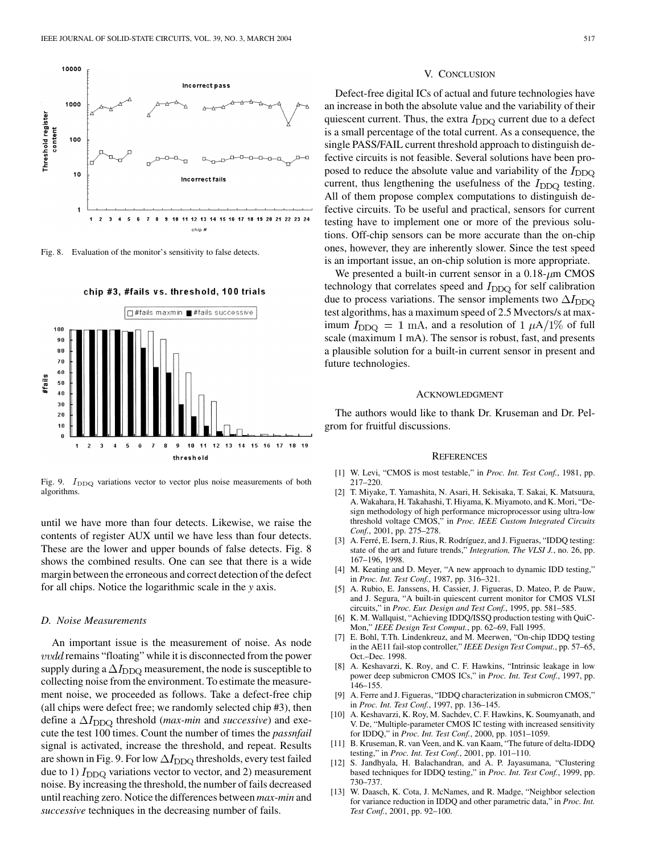<span id="page-7-0"></span>

Fig. 8. Evaluation of the monitor's sensitivity to false detects.



Fig. 9.  $I_{\text{DDQ}}$  variations vector to vector plus noise measurements of both algorithms.

until we have more than four detects. Likewise, we raise the contents of register AUX until we have less than four detects. These are the lower and upper bounds of false detects. Fig. 8 shows the combined results. One can see that there is a wide margin between the erroneous and correct detection of the defect for all chips. Notice the logarithmic scale in the *y* axis.

#### *D. Noise Measurements*

An important issue is the measurement of noise. As node  $vvdd$  remains "floating" while it is disconnected from the power supply during a  $\Delta I_{\text{DDQ}}$  measurement, the node is susceptible to collecting noise from the environment. To estimate the measurement noise, we proceeded as follows. Take a defect-free chip (all chips were defect free; we randomly selected chip #3), then define a  $\Delta I_{\text{DDO}}$  threshold (*max-min* and *successive*) and execute the test 100 times. Count the number of times the *passnfail* signal is activated, increase the threshold, and repeat. Results are shown in Fig. 9. For low  $\Delta I_{\rm DDQ}$  thresholds, every test failed due to 1)  $I_{DDQ}$  variations vector to vector, and 2) measurement noise. By increasing the threshold, the number of fails decreased until reaching zero. Notice the differences between *max-min* and *successive* techniques in the decreasing number of fails.

#### V. CONCLUSION

Defect-free digital ICs of actual and future technologies have an increase in both the absolute value and the variability of their quiescent current. Thus, the extra  $I_{DDQ}$  current due to a defect is a small percentage of the total current. As a consequence, the single PASS/FAIL current threshold approach to distinguish defective circuits is not feasible. Several solutions have been proposed to reduce the absolute value and variability of the  $I_{\text{DDQ}}$ current, thus lengthening the usefulness of the  $I_{\text{DDQ}}$  testing. All of them propose complex computations to distinguish defective circuits. To be useful and practical, sensors for current testing have to implement one or more of the previous solutions. Off-chip sensors can be more accurate than the on-chip ones, however, they are inherently slower. Since the test speed is an important issue, an on-chip solution is more appropriate.

We presented a built-in current sensor in a  $0.18 - \mu m$  CMOS technology that correlates speed and  $I_{\text{DDO}}$  for self calibration due to process variations. The sensor implements two  $\Delta I_{\text{DDO}}$ test algorithms, has a maximum speed of 2.5 Mvectors/s at maximum  $I_{DDQ} = 1$  mA, and a resolution of  $1 \mu A/1\%$  of full scale (maximum 1 mA). The sensor is robust, fast, and presents a plausible solution for a built-in current sensor in present and future technologies.

#### ACKNOWLEDGMENT

The authors would like to thank Dr. Kruseman and Dr. Pelgrom for fruitful discussions.

#### **REFERENCES**

- [1] W. Levi, "CMOS is most testable," in *Proc. Int. Test Conf.*, 1981, pp. 217–220.
- [2] T. Miyake, T. Yamashita, N. Asari, H. Sekisaka, T. Sakai, K. Matsuura, A. Wakahara, H. Takahashi, T. Hiyama, K. Miyamoto, and K. Mori, "Design methodology of high performance microprocessor using ultra-low threshold voltage CMOS," in *Proc. IEEE Custom Integrated Circuits Conf.*, 2001, pp. 275–278.
- [3] A. Ferré, E. Isern, J. Rius, R. Rodríguez, and J. Figueras, "IDDQ testing: state of the art and future trends," *Integration, The VLSI J.*, no. 26, pp. 167–196, 1998.
- [4] M. Keating and D. Meyer, "A new approach to dynamic IDD testing," in *Proc. Int. Test Conf.*, 1987, pp. 316–321.
- [5] A. Rubio, E. Janssens, H. Cassier, J. Figueras, D. Mateo, P. de Pauw, and J. Segura, "A built-in quiescent current monitor for CMOS VLSI circuits," in *Proc. Eur. Design and Test Conf.*, 1995, pp. 581–585.
- [6] K. M. Wallquist, "Achieving IDDQ/ISSQ production testing with QuiC-Mon," *IEEE Design Test Comput.*, pp. 62–69, Fall 1995.
- [7] E. Bohl, T.Th. Lindenkreuz, and M. Meerwen, "On-chip IDDQ testing in the AE11 fail-stop controller," *IEEE Design Test Comput.*, pp. 57–65, Oct.–Dec. 1998.
- [8] A. Keshavarzi, K. Roy, and C. F. Hawkins, "Intrinsic leakage in low power deep submicron CMOS ICs," in *Proc. Int. Test Conf.*, 1997, pp. 146–155.
- [9] A. Ferre and J. Figueras, "IDDQ characterization in submicron CMOS," in *Proc. Int. Test Conf.*, 1997, pp. 136–145.
- [10] A. Keshavarzi, K. Roy, M. Sachdev, C. F. Hawkins, K. Soumyanath, and V. De, "Multiple-parameter CMOS IC testing with increased sensitivity for IDDQ," in *Proc. Int. Test Conf.*, 2000, pp. 1051–1059.
- [11] B. Kruseman, R. van Veen, and K. van Kaam, "The future of delta-IDDQ testing," in *Proc. Int. Test Conf.*, 2001, pp. 101–110.
- [12] S. Jandhyala, H. Balachandran, and A. P. Jayasumana, "Clustering based techniques for IDDQ testing," in *Proc. Int. Test Conf.*, 1999, pp. 730–737.
- [13] W. Daasch, K. Cota, J. McNames, and R. Madge, "Neighbor selection for variance reduction in IDDQ and other parametric data," in *Proc. Int. Test Conf.*, 2001, pp. 92–100.